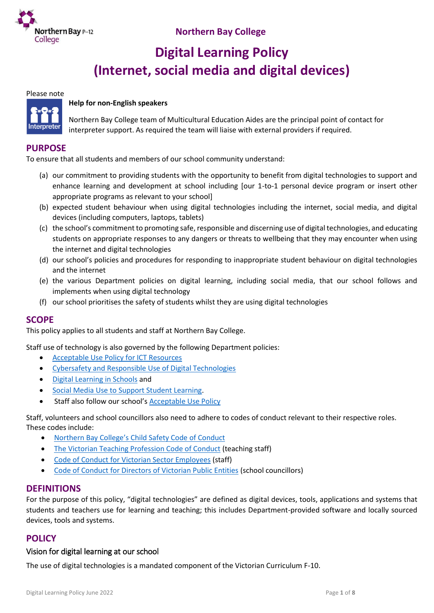

# **Digital Learning Policy (Internet, social media and digital devices)**

### Please note



### **Help for non-English speakers**

Northern Bay College team of Multicultural Education Aides are the principal point of contact for interpreter support. As required the team will liaise with external providers if required.

### **PURPOSE**

To ensure that all students and members of our school community understand:

- (a) our commitment to providing students with the opportunity to benefit from digital technologies to support and enhance learning and development at school including [our 1-to-1 personal device program or insert other appropriate programs as relevant to your school]
- (b) expected student behaviour when using digital technologies including the internet, social media, and digital devices (including computers, laptops, tablets)
- (c) the school's commitment to promoting safe, responsible and discerning use of digital technologies, and educating students on appropriate responses to any dangers or threats to wellbeing that they may encounter when using the internet and digital technologies
- (d) our school's policies and procedures for responding to inappropriate student behaviour on digital technologies and the internet
- (e) the various Department policies on digital learning, including social media, that our school follows and implements when using digital technology
- (f) our school prioritises the safety of students whilst they are using digital technologies

### **SCOPE**

This policy applies to all students and staff at Northern Bay College.

Staff use of technology is also governed by the following Department policies:

- [Acceptable Use Policy for ICT Resources](https://www2.education.vic.gov.au/pal/ict-acceptable-use/overview)
- [Cybersafety and Responsible Use of Digital Technologies](https://www2.education.vic.gov.au/pal/cybersafety/policy)
- [Digital Learning in Schools](https://www2.education.vic.gov.au/pal/digital-learning/policy) and
- [Social Media Use to Support Student Learning.](https://www2.education.vic.gov.au/pal/social-media/policy)
- Staff also follow our school's [Acceptable Use Policy](https://www.nbc.vic.edu.au/uploads/Digital-Learning-Acceptable-Use-Agreement-2022.pdf)

Staff, volunteers and school councillors also need to adhere to codes of conduct relevant to their respective roles. These codes include:

- [Northern Bay College's Child Safety Code of Conduct](https://www.nbc.vic.edu.au/uploads/PDFS/Child-Satey-Code-of-Conduct-May-2022.pdf)
- [The Victorian Teaching Profession Code of Conduct](https://www.vit.vic.edu.au/__data/assets/pdf_file/0018/35604/Code-of-Conduct-2016.pdf) (teaching staff)
- [Code of Conduct for Victorian Sector](https://www2.education.vic.gov.au/pal/code-conduct/overview) Employees (staff)
- [Code of Conduct for Directors of Victorian Public Entities](https://www2.education.vic.gov.au/pal/school-council-conduct/policy) (school councillors)

### **DEFINITIONS**

For the purpose of this policy, "digital technologies" are defined as digital devices, tools, applications and systems that students and teachers use for learning and teaching; this includes Department-provided software and locally sourced devices, tools and systems.

### **POLICY**

### Vision for digital learning at our school

The use of digital technologies is a mandated component of the Victorian Curriculum F-10.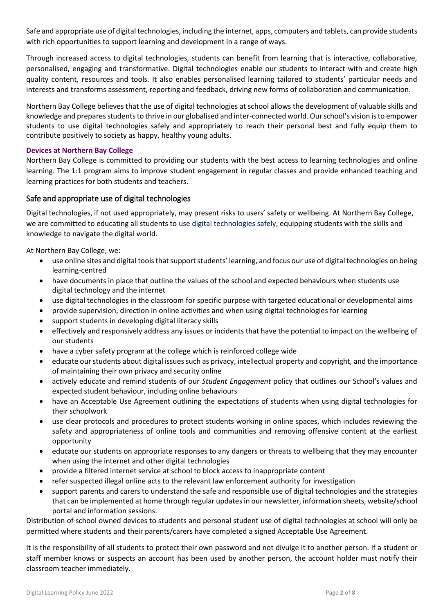Safe and appropriate use of digital technologies, including the internet, apps, computers and tablets, can provide students with rich opportunities to support learning and development in a range of ways.

Through increased access to digital technologies, students can benefit from learning that is interactive, collaborative, personalised, engaging and transformative. Digital technologies enable our students to interact with and create high quality content, resources and tools. It also enables personalised learning tailored to students' particular needs and interests and transforms assessment, reporting and feedback, driving new forms of collaboration and communication.

Northern Bay College believes that the use of digital technologies at school allows the development of valuable skills and knowledge and prepares students to thrive in our globalised and inter-connected world. Our school's vision is to empower students to use digital technologies safely and appropriately to reach their personal best and fully equip them to contribute positively to society as happy, healthy young adults.

### **Devices at Northern Bay College**

Northern Bay College is committed to providing our students with the best access to learning technologies and online learning. The 1:1 program aims to improve student engagement in regular classes and provide enhanced teaching and learning practices for both students and teachers.

### Safe and appropriate use of digital technologies

Digital technologies, if not used appropriately, may present risks to users' safety or wellbeing. At Northern Bay College, we are committed to educating all students to use digital technologies safely, equipping students with the skills and knowledge to navigate the digital world.

At Northern Bay College, we:

- use online sites and digital tools that support students' learning, and focus our use of digital technologies on being learning-centred
- have documents in place that outline the values of the school and expected behaviours when students use digital technology and the internet
- use digital technologies in the classroom for specific purpose with targeted educational or developmental aims
- provide supervision, direction in online activities and when using digital technologies for learning
- support students in developing digital literacy skills
- effectively and responsively address any issues or incidents that have the potential to impact on the wellbeing of our students
- have a cyber safety program at the college which is reinforced college wide
- educate our students about digital issues such as privacy, intellectual property and copyright, and the importance of maintaining their own privacy and security online
- actively educate and remind students of our *Student Engagement* policy that outlines our School's values and expected student behaviour, including online behaviours
- have an Acceptable Use Agreement outlining the expectations of students when using digital technologies for their schoolwork
- use clear protocols and procedures to protect students working in online spaces, which includes reviewing the safety and appropriateness of online tools and communities and removing offensive content at the earliest opportunity
- educate our students on appropriate responses to any dangers or threats to wellbeing that they may encounter when using the internet and other digital technologies
- provide a filtered internet service at school to block access to inappropriate content
- refer suspected illegal online acts to the relevant law enforcement authority for investigation
- support parents and carers to understand the safe and responsible use of digital technologies and the strategies that can be implemented at home through regular updates in our newsletter, information sheets, website/school portal and information sessions.

Distribution of school owned devices to students and personal student use of digital technologies at school will only be permitted where students and their parents/carers have completed a signed Acceptable Use Agreement.

It is the responsibility of all students to protect their own password and not divulge it to another person. If a student or staff member knows or suspects an account has been used by another person, the account holder must notify their classroom teacher immediately.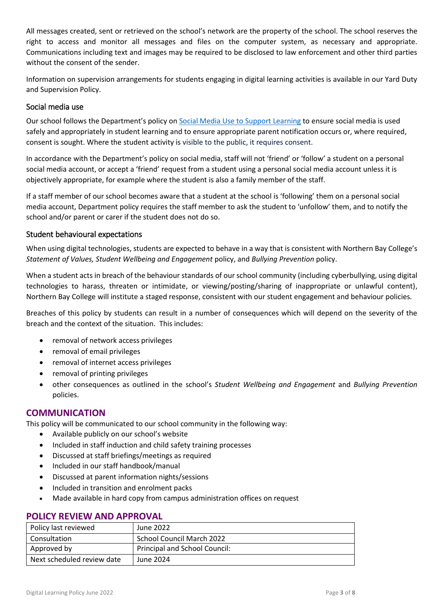All messages created, sent or retrieved on the school's network are the property of the school. The school reserves the right to access and monitor all messages and files on the computer system, as necessary and appropriate. Communications including text and images may be required to be disclosed to law enforcement and other third parties without the consent of the sender.

Information on supervision arrangements for students engaging in digital learning activities is available in our Yard Duty and Supervision Policy.

### Social media use

Our school follows the Department's policy on [Social Media Use to Support Learning](https://www2.education.vic.gov.au/pal/social-media/policy) to ensure social media is used safely and appropriately in student learning and to ensure appropriate parent notification occurs or, where required, consent is sought. Where the student activity is visible to the public, it requires consent.

In accordance with the Department's policy on social media, staff will not 'friend' or 'follow' a student on a personal social media account, or accept a 'friend' request from a student using a personal social media account unless it is objectively appropriate, for example where the student is also a family member of the staff.

If a staff member of our school becomes aware that a student at the school is 'following' them on a personal social media account, Department policy requires the staff member to ask the student to 'unfollow' them, and to notify the school and/or parent or carer if the student does not do so.

### Student behavioural expectations

When using digital technologies, students are expected to behave in a way that is consistent with Northern Bay College's *Statement of Values, Student Wellbeing and Engagement* policy, and *Bullying Prevention* policy.

When a student acts in breach of the behaviour standards of our school community (including cyberbullying, using digital technologies to harass, threaten or intimidate, or viewing/posting/sharing of inappropriate or unlawful content), Northern Bay College will institute a staged response, consistent with our student engagement and behaviour policies*.*

Breaches of this policy by students can result in a number of consequences which will depend on the severity of the breach and the context of the situation. This includes:

- removal of network access privileges
- removal of email privileges
- removal of internet access privileges
- removal of printing privileges
- other consequences as outlined in the school's *Student Wellbeing and Engagement* and *Bullying Prevention* policies.

### **COMMUNICATION**

This policy will be communicated to our school community in the following way:

- Available publicly on our school's website
- Included in staff induction and child safety training processes
- Discussed at staff briefings/meetings as required
- Included in our staff handbook/manual
- Discussed at parent information nights/sessions
- Included in transition and enrolment packs
- Made available in hard copy from campus administration offices on request

| Policy last reviewed       | June 2022                     |  |
|----------------------------|-------------------------------|--|
| Consultation               | School Council March 2022     |  |
| Approved by                | Principal and School Council: |  |
| Next scheduled review date | June 2024                     |  |

### **POLICY REVIEW AND APPROVAL**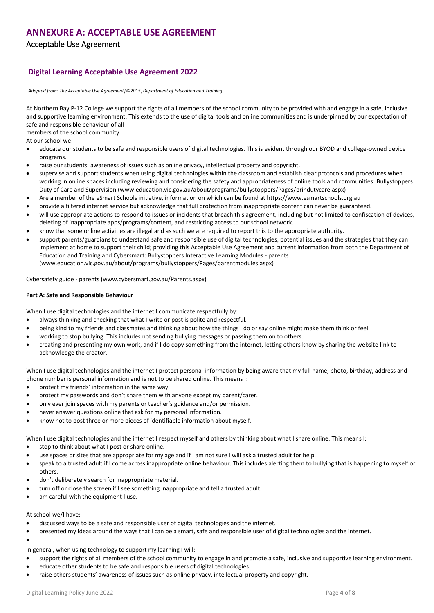### **ANNEXURE A: ACCEPTABLE USE AGREEMENT**

Acceptable Use Agreement

### **Digital Learning Acceptable Use Agreement 2022**

*Adapted from: The Acceptable Use Agreement|©2015|Department of Education and Training* 

At Northern Bay P-12 College we support the rights of all members of the school community to be provided with and engage in a safe, inclusive and supportive learning environment. This extends to the use of digital tools and online communities and is underpinned by our expectation of safe and responsible behaviour of all

members of the school community.

At our school we:

- educate our students to be safe and responsible users of digital technologies. This is evident through our BYOD and college-owned device programs.
- raise our students' awareness of issues such as online privacy, intellectual property and copyright.
- supervise and support students when using digital technologies within the classroom and establish clear protocols and procedures when working in online spaces including reviewing and considering the safety and appropriateness of online tools and communities: Bullystoppers Duty of Care and Supervision (www.education.vic.gov.au/about/programs/bullystoppers/Pages/prindutycare.aspx)
- Are a member of the eSmart Schools initiative, information on which can be found at https://www.esmartschools.org.au
- provide a filtered internet service but acknowledge that full protection from inappropriate content can never be guaranteed.
- will use appropriate actions to respond to issues or incidents that breach this agreement, including but not limited to confiscation of devices, deleting of inappropriate apps/programs/content, and restricting access to our school network.
- know that some online activities are illegal and as such we are required to report this to the appropriate authority.
- support parents/guardians to understand safe and responsible use of digital technologies, potential issues and the strategies that they can implement at home to support their child; providing this Acceptable Use Agreement and current information from both the Department of Education and Training and Cybersmart: Bullystoppers Interactive Learning Modules - parents (www.education.vic.gov.au/about/programs/bullystoppers/Pages/parentmodules.aspx)

Cybersafety guide - parents (www.cybersmart.gov.au/Parents.aspx)

#### **Part A: Safe and Responsible Behaviour**

When I use digital technologies and the internet I communicate respectfully by:

- always thinking and checking that what I write or post is polite and respectful.
- being kind to my friends and classmates and thinking about how the things I do or say online might make them think or feel.
- working to stop bullying. This includes not sending bullying messages or passing them on to others.
- creating and presenting my own work, and if I do copy something from the internet, letting others know by sharing the website link to acknowledge the creator.

When I use digital technologies and the internet I protect personal information by being aware that my full name, photo, birthday, address and phone number is personal information and is not to be shared online. This means I:

- protect my friends' information in the same way.
- protect my passwords and don't share them with anyone except my parent/carer.
- only ever join spaces with my parents or teacher's guidance and/or permission.
- never answer questions online that ask for my personal information.
- know not to post three or more pieces of identifiable information about myself.

When I use digital technologies and the internet I respect myself and others by thinking about what I share online. This means I:

- stop to think about what I post or share online.
- use spaces or sites that are appropriate for my age and if I am not sure I will ask a trusted adult for help.
- speak to a trusted adult if I come across inappropriate online behaviour. This includes alerting them to bullying that is happening to myself or others.
- don't deliberately search for inappropriate material.
- turn off or close the screen if I see something inappropriate and tell a trusted adult.
- am careful with the equipment I use.

At school we/I have:

- discussed ways to be a safe and responsible user of digital technologies and the internet.
- presented my ideas around the ways that I can be a smart, safe and responsible user of digital technologies and the internet.
- $\bullet$
- In general, when using technology to support my learning I will:
- support the rights of all members of the school community to engage in and promote a safe, inclusive and supportive learning environment.
- educate other students to be safe and responsible users of digital technologies.
- raise others students' awareness of issues such as online privacy, intellectual property and copyright.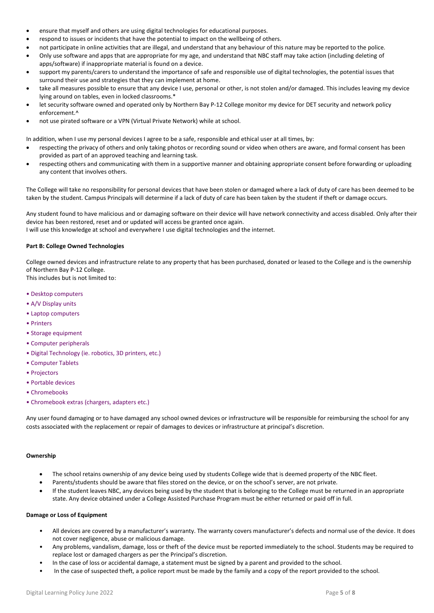- ensure that myself and others are using digital technologies for educational purposes.
- respond to issues or incidents that have the potential to impact on the wellbeing of others.
- not participate in online activities that are illegal, and understand that any behaviour of this nature may be reported to the police.
- Only use software and apps that are appropriate for my age, and understand that NBC staff may take action (including deleting of apps/software) if inappropriate material is found on a device.
- support my parents/carers to understand the importance of safe and responsible use of digital technologies, the potential issues that surround their use and strategies that they can implement at home.
- take all measures possible to ensure that any device I use, personal or other, is not stolen and/or damaged. This includes leaving my device lying around on tables, even in locked classrooms.\*
- let security software owned and operated only by Northern Bay P-12 College monitor my device for DET security and network policy enforcement.^
- not use pirated software or a VPN (Virtual Private Network) while at school.

In addition, when I use my personal devices I agree to be a safe, responsible and ethical user at all times, by:

- respecting the privacy of others and only taking photos or recording sound or video when others are aware, and formal consent has been provided as part of an approved teaching and learning task.
- respecting others and communicating with them in a supportive manner and obtaining appropriate consent before forwarding or uploading any content that involves others.

The College will take no responsibility for personal devices that have been stolen or damaged where a lack of duty of care has been deemed to be taken by the student. Campus Principals will determine if a lack of duty of care has been taken by the student if theft or damage occurs.

Any student found to have malicious and or damaging software on their device will have network connectivity and access disabled. Only after their device has been restored, reset and or updated will access be granted once again. I will use this knowledge at school and everywhere I use digital technologies and the internet.

#### **Part B: College Owned Technologies**

College owned devices and infrastructure relate to any property that has been purchased, donated or leased to the College and is the ownership of Northern Bay P-12 College. This includes but is not limited to:

- Desktop computers
- A/V Display units
- Laptop computers
- Printers
- Storage equipment
- Computer peripherals
- Digital Technology (ie. robotics, 3D printers, etc.)
- Computer Tablets
- Projectors
- Portable devices
- Chromebooks
- Chromebook extras (chargers, adapters etc.)

Any user found damaging or to have damaged any school owned devices or infrastructure will be responsible for reimbursing the school for any costs associated with the replacement or repair of damages to devices or infrastructure at principal's discretion.

#### **Ownership**

- The school retains ownership of any device being used by students College wide that is deemed property of the NBC fleet.
- Parents/students should be aware that files stored on the device, or on the school's server, are not private.
- If the student leaves NBC, any devices being used by the student that is belonging to the College must be returned in an appropriate state. Any device obtained under a College Assisted Purchase Program must be either returned or paid off in full.

#### **Damage or Loss of Equipment**

- All devices are covered by a manufacturer's warranty. The warranty covers manufacturer's defects and normal use of the device. It does not cover negligence, abuse or malicious damage.
- Any problems, vandalism, damage, loss or theft of the device must be reported immediately to the school. Students may be required to replace lost or damaged chargers as per the Principal's discretion.
- In the case of loss or accidental damage, a statement must be signed by a parent and provided to the school.
- In the case of suspected theft, a police report must be made by the family and a copy of the report provided to the school.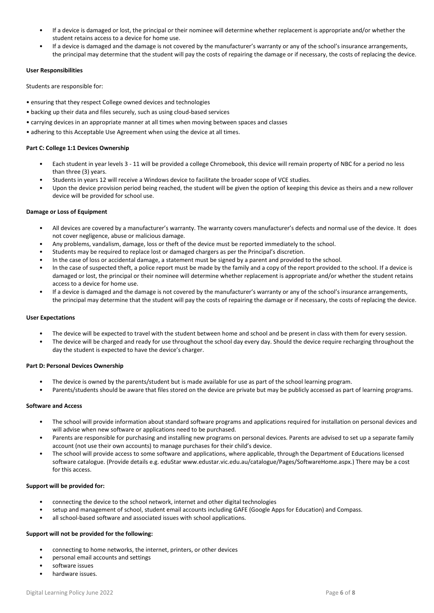- If a device is damaged or lost, the principal or their nominee will determine whether replacement is appropriate and/or whether the student retains access to a device for home use.
- If a device is damaged and the damage is not covered by the manufacturer's warranty or any of the school's insurance arrangements, the principal may determine that the student will pay the costs of repairing the damage or if necessary, the costs of replacing the device.

#### **User Responsibilities**

Students are responsible for:

- ensuring that they respect College owned devices and technologies
- backing up their data and files securely, such as using cloud-based services
- carrying devices in an appropriate manner at all times when moving between spaces and classes
- adhering to this Acceptable Use Agreement when using the device at all times.

#### **Part C: College 1:1 Devices Ownership**

- Each student in year levels 3 11 will be provided a college Chromebook, this device will remain property of NBC for a period no less than three (3) years.
- Students in years 12 will receive a Windows device to facilitate the broader scope of VCE studies.
- Upon the device provision period being reached, the student will be given the option of keeping this device as theirs and a new rollover device will be provided for school use.

#### **Damage or Loss of Equipment**

- All devices are covered by a manufacturer's warranty. The warranty covers manufacturer's defects and normal use of the device. It does not cover negligence, abuse or malicious damage.
- Any problems, vandalism, damage, loss or theft of the device must be reported immediately to the school.
- Students may be required to replace lost or damaged chargers as per the Principal's discretion.
- In the case of loss or accidental damage, a statement must be signed by a parent and provided to the school.
- In the case of suspected theft, a police report must be made by the family and a copy of the report provided to the school. If a device is damaged or lost, the principal or their nominee will determine whether replacement is appropriate and/or whether the student retains access to a device for home use.
- If a device is damaged and the damage is not covered by the manufacturer's warranty or any of the school's insurance arrangements, the principal may determine that the student will pay the costs of repairing the damage or if necessary, the costs of replacing the device.

#### **User Expectations**

- The device will be expected to travel with the student between home and school and be present in class with them for every session.
- The device will be charged and ready for use throughout the school day every day. Should the device require recharging throughout the day the student is expected to have the device's charger.

#### **Part D: Personal Devices Ownership**

- The device is owned by the parents/student but is made available for use as part of the school learning program.
- Parents/students should be aware that files stored on the device are private but may be publicly accessed as part of learning programs.

#### **Software and Access**

- The school will provide information about standard software programs and applications required for installation on personal devices and will advise when new software or applications need to be purchased.
- Parents are responsible for purchasing and installing new programs on personal devices. Parents are advised to set up a separate family account (not use their own accounts) to manage purchases for their child's device.
- The school will provide access to some software and applications, where applicable, through the Department of Educations licensed software catalogue. (Provide details e.g. eduStar www.edustar.vic.edu.au/catalogue/Pages/SoftwareHome.aspx.) There may be a cost for this access.

#### **Support will be provided for:**

- connecting the device to the school network, internet and other digital technologies
- setup and management of school, student email accounts including GAFE (Google Apps for Education) and Compass.
- all school-based software and associated issues with school applications.

#### **Support will not be provided for the following:**

- connecting to home networks, the internet, printers, or other devices
- personal email accounts and settings
- software issues
- hardware issues.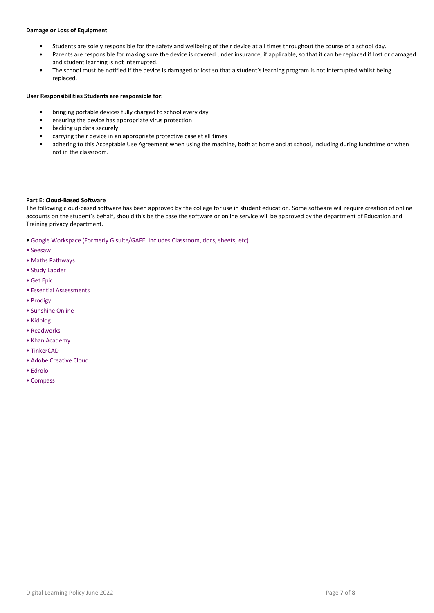#### **Damage or Loss of Equipment**

- Students are solely responsible for the safety and wellbeing of their device at all times throughout the course of a school day.
- Parents are responsible for making sure the device is covered under insurance, if applicable, so that it can be replaced if lost or damaged and student learning is not interrupted.
- The school must be notified if the device is damaged or lost so that a student's learning program is not interrupted whilst being replaced.

#### **User Responsibilities Students are responsible for:**

- bringing portable devices fully charged to school every day
- ensuring the device has appropriate virus protection
- backing up data securely
- carrying their device in an appropriate protective case at all times
- adhering to this Acceptable Use Agreement when using the machine, both at home and at school, including during lunchtime or when not in the classroom.

#### **Part E: Cloud-Based Software**

The following cloud-based software has been approved by the college for use in student education. Some software will require creation of online accounts on the student's behalf, should this be the case the software or online service will be approved by the department of Education and Training privacy department.

- Google Workspace (Formerly G suite/GAFE. Includes Classroom, docs, sheets, etc)
- Seesaw
- Maths Pathways
- Study Ladder
- Get Epic
- Essential Assessments
- Prodigy
- Sunshine Online
- Kidblog
- Readworks
- Khan Academy
- TinkerCAD
- Adobe Creative Cloud
- Edrolo
- Compass